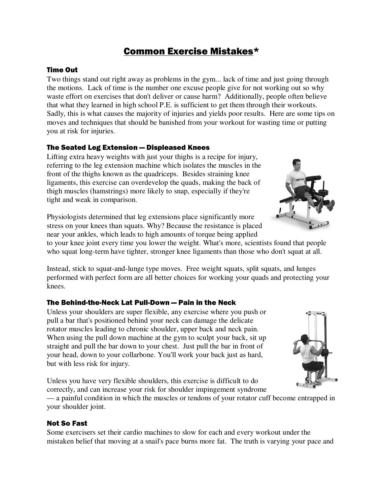# Common Exercise Mistakes\*

## Time Out

Two things stand out right away as problems in the gym... lack of time and just going through the motions. Lack of time is the number one excuse people give for not working out so why waste effort on exercises that don't deliver or cause harm? Additionally, people often believe that what they learned in high school P.E. is sufficient to get them through their workouts. Sadly, this is what causes the majority of injuries and yields poor results. Here are some tips on moves and techniques that should be banished from your workout for wasting time or putting you at risk for injuries.

## The Seated Leg Extension — Displeased Knees

Lifting extra heavy weights with just your thighs is a recipe for injury, referring to the leg extension machine which isolates the muscles in the front of the thighs known as the quadriceps. Besides straining knee ligaments, this exercise can overdevelop the quads, making the back of thigh muscles (hamstrings) more likely to snap, especially if they're tight and weak in comparison.

Physiologists determined that leg extensions place significantly more stress on your knees than squats. Why? Because the resistance is placed near your ankles, which leads to high amounts of torque being applied

to your knee joint every time you lower the weight. What's more, scientists found that people who squat long-term have tighter, stronger knee ligaments than those who don't squat at all.

Instead, stick to squat-and-lunge type moves. Free weight squats, split squats, and lunges performed with perfect form are all better choices for working your quads and protecting your knees.

# The Behind-the-Neck Lat Pull-Down — Pain in the Neck

Unless your shoulders are super flexible, any exercise where you push or pull a bar that's positioned behind your neck can damage the delicate rotator muscles leading to chronic shoulder, upper back and neck pain. When using the pull down machine at the gym to sculpt your back, sit up straight and pull the bar down to your chest. Just pull the bar in front of your head, down to your collarbone. You'll work your back just as hard, but with less risk for injury.

Unless you have very flexible shoulders, this exercise is difficult to do correctly, and can increase your risk for shoulder impingement syndrome

— a painful condition in which the muscles or tendons of your rotator cuff become entrapped in your shoulder joint.

# Not So Fast

Some exercisers set their cardio machines to slow for each and every workout under the mistaken belief that moving at a snail's pace burns more fat. The truth is varying your pace and



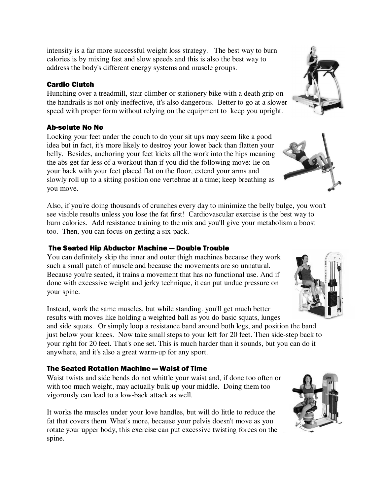intensity is a far more successful weight loss strategy. The best way to burn calories is by mixing fast and slow speeds and this is also the best way to address the body's different energy systems and muscle groups.

## Cardio Clutch

Hunching over a treadmill, stair climber or stationery bike with a death grip on the handrails is not only ineffective, it's also dangerous. Better to go at a slower speed with proper form without relying on the equipment to keep you upright.

# Ab-solute No No

Locking your feet under the couch to do your sit ups may seem like a good idea but in fact, it's more likely to destroy your lower back than flatten your belly. Besides, anchoring your feet kicks all the work into the hips meaning the abs get far less of a workout than if you did the following move: lie on your back with your feet placed flat on the floor, extend your arms and slowly roll up to a sitting position one vertebrae at a time; keep breathing as you move.

Also, if you're doing thousands of crunches every day to minimize the belly bulge, you won't see visible results unless you lose the fat first! Cardiovascular exercise is the best way to burn calories. Add resistance training to the mix and you'll give your metabolism a boost too. Then, you can focus on getting a six-pack.

## The Seated Hip Abductor Machine — Double Trouble

You can definitely skip the inner and outer thigh machines because they work such a small patch of muscle and because the movements are so unnatural. Because you're seated, it trains a movement that has no functional use. And if done with excessive weight and jerky technique, it can put undue pressure on your spine.

Instead, work the same muscles, but while standing. you'll get much better results with moves like holding a weighted ball as you do basic squats, lunges and side squats. Or simply loop a resistance band around both legs, and position the band just below your knees. Now take small steps to your left for 20 feet. Then side-step back to your right for 20 feet. That's one set. This is much harder than it sounds, but you can do it anywhere, and it's also a great warm-up for any sport.

#### The Seated Rotation Machine — Waist of Time

Waist twists and side bends do not whittle your waist and, if done too often or with too much weight, may actually bulk up your middle. Doing them too vigorously can lead to a low-back attack as well.

It works the muscles under your love handles, but will do little to reduce the fat that covers them. What's more, because your pelvis doesn't move as you rotate your upper body, this exercise can put excessive twisting forces on the spine.







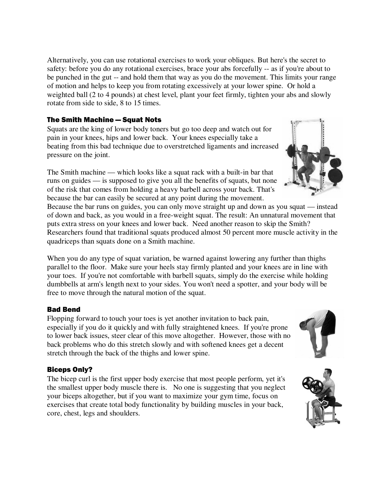Alternatively, you can use rotational exercises to work your obliques. But here's the secret to safety: before you do any rotational exercises, brace your abs forcefully -- as if you're about to be punched in the gut -- and hold them that way as you do the movement. This limits your range of motion and helps to keep you from rotating excessively at your lower spine. Or hold a weighted ball (2 to 4 pounds) at chest level, plant your feet firmly, tighten your abs and slowly rotate from side to side, 8 to 15 times.

## The Smith Machine — Squat Nots

Squats are the king of lower body toners but go too deep and watch out for pain in your knees, hips and lower back. Your knees especially take a beating from this bad technique due to overstretched ligaments and increased pressure on the joint.

The Smith machine — which looks like a squat rack with a built-in bar that runs on guides — is supposed to give you all the benefits of squats, but none of the risk that comes from holding a heavy barbell across your back. That's because the bar can easily be secured at any point during the movement.

Because the bar runs on guides, you can only move straight up and down as you squat — instead of down and back, as you would in a free-weight squat. The result: An unnatural movement that puts extra stress on your knees and lower back. Need another reason to skip the Smith? Researchers found that traditional squats produced almost 50 percent more muscle activity in the quadriceps than squats done on a Smith machine.

When you do any type of squat variation, be warned against lowering any further than thighs parallel to the floor. Make sure your heels stay firmly planted and your knees are in line with your toes. If you're not comfortable with barbell squats, simply do the exercise while holding dumbbells at arm's length next to your sides. You won't need a spotter, and your body will be free to move through the natural motion of the squat.

# Bad Bend

Flopping forward to touch your toes is yet another invitation to back pain, especially if you do it quickly and with fully straightened knees. If you're prone to lower back issues, steer clear of this move altogether. However, those with no back problems who do this stretch slowly and with softened knees get a decent stretch through the back of the thighs and lower spine.

# Biceps Only?

The bicep curl is the first upper body exercise that most people perform, yet it's the smallest upper body muscle there is. No one is suggesting that you neglect your biceps altogether, but if you want to maximize your gym time, focus on exercises that create total body functionality by building muscles in your back, core, chest, legs and shoulders.